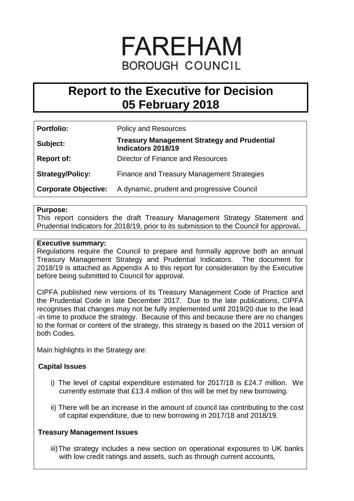# **FAREHAM BOROUGH COUNCIL**

# **Report to the Executive for Decision 05 February 2018**

| <b>Portfolio:</b>           | <b>Policy and Resources</b>                                              |
|-----------------------------|--------------------------------------------------------------------------|
| Subject:                    | <b>Treasury Management Strategy and Prudential</b><br>Indicators 2018/19 |
| <b>Report of:</b>           | Director of Finance and Resources                                        |
| <b>Strategy/Policy:</b>     | Finance and Treasury Management Strategies                               |
| <b>Corporate Objective:</b> | A dynamic, prudent and progressive Council                               |

# **Purpose:**

This report considers the draft Treasury Management Strategy Statement and Prudential Indicators for 2018/19, prior to its submission to the Council for approval**.**

# **Executive summary:**

Regulations require the Council to prepare and formally approve both an annual Treasury Management Strategy and Prudential Indicators. The document for 2018/19 is attached as Appendix A to this report for consideration by the Executive before being submitted to Council for approval.

CIPFA published new versions of its Treasury Management Code of Practice and the Prudential Code in late December 2017. Due to the late publications, CIPFA recognises that changes may not be fully implemented until 2019/20 due to the lead -in time to produce the strategy. Because of this and because there are no changes to the format or content of the strategy, this strategy is based on the 2011 version of both Codes.

Main highlights in the Strategy are:

# **Capital Issues**

- i) The level of capital expenditure estimated for 2017/18 is £24.7 million. We currently estimate that £13.4 million of this will be met by new borrowing.
- ii) There will be an increase in the amount of council tax contributing to the cost of capital expenditure, due to new borrowing in 2017/18 and 2018/19.

# **Treasury Management Issues**

iii)The strategy includes a new section on operational exposures to UK banks with low credit ratings and assets, such as through current accounts,